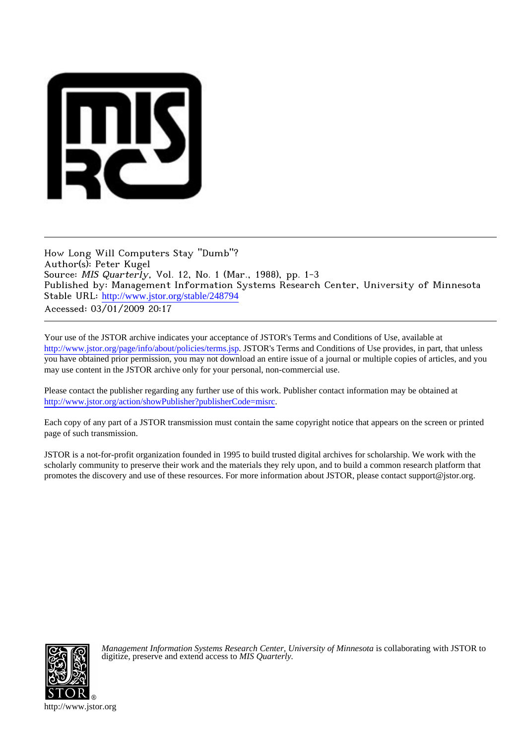

How Long Will Computers Stay "Dumb"? Author(s): Peter Kugel Source: MIS Quarterly, Vol. 12, No. 1 (Mar., 1988), pp. 1-3 Published by: Management Information Systems Research Center, University of Minnesota Stable URL: [http://www.jstor.org/stable/248794](http://www.jstor.org/stable/248794?origin=JSTOR-pdf) Accessed: 03/01/2009 20:17

Your use of the JSTOR archive indicates your acceptance of JSTOR's Terms and Conditions of Use, available at <http://www.jstor.org/page/info/about/policies/terms.jsp>. JSTOR's Terms and Conditions of Use provides, in part, that unless you have obtained prior permission, you may not download an entire issue of a journal or multiple copies of articles, and you may use content in the JSTOR archive only for your personal, non-commercial use.

Please contact the publisher regarding any further use of this work. Publisher contact information may be obtained at <http://www.jstor.org/action/showPublisher?publisherCode=misrc>.

Each copy of any part of a JSTOR transmission must contain the same copyright notice that appears on the screen or printed page of such transmission.

JSTOR is a not-for-profit organization founded in 1995 to build trusted digital archives for scholarship. We work with the scholarly community to preserve their work and the materials they rely upon, and to build a common research platform that promotes the discovery and use of these resources. For more information about JSTOR, please contact support@jstor.org.



*Management Information Systems Research Center, University of Minnesota* is collaborating with JSTOR to digitize, preserve and extend access to *MIS Quarterly.*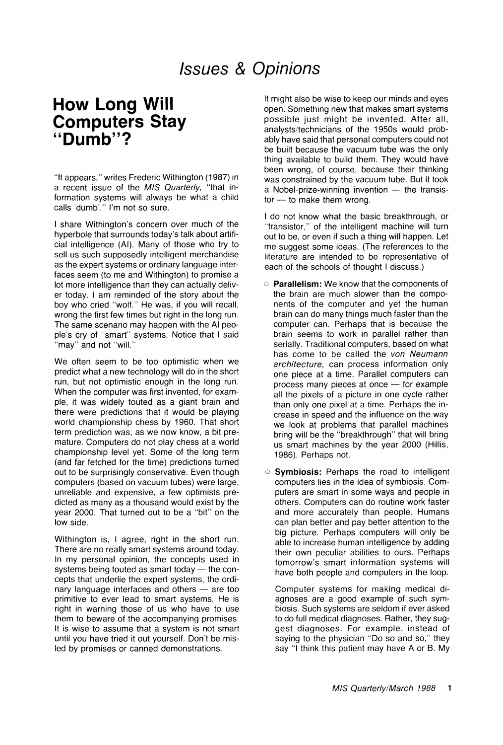## **Issues & Opinions**

## **How Long Will Computers Stay "Dumb"?**

**"It appears," writes Frederic Withington (1987) in a recent issue of the MIS Quarterly, "that information systems will always be what a child calls 'dumb'." I'm not so sure.** 

**I share Withington's concern over much of the hyperbole that surrounds today's talk about artificial intelligence (Al). Many of those who try to sell us such supposedly intelligent merchandise as the expert systems or ordinary language interfaces seem (to me and Withington) to promise a lot more intelligence than they can actually deliver today. I am reminded of the story about the boy who cried "wolf." He was, if you will recall, wrong the first few times but right in the long run. The same scenario may happen with the Al people's cry of "smart" systems. Notice that I said "may" and not "will."** 

**We often seem to be too optimistic when we predict what a new technology will do in the short run, but not optimistic enough in the long run. When the computer was first invented, for example, it was widely touted as a giant brain and there were predictions that it would be playing world championship chess by 1960. That short term prediction was, as we now know, a bit premature. Computers do not play chess at a world championship level yet. Some of the long term (and far fetched for the time) predictions turned out to be surprisingly conservative. Even though computers (based on vacuum tubes) were large, unreliable and expensive, a few optimists predicted as many as a thousand would exist by the year 2000. That turned out to be a "bit" on the low side.** 

**Withington is, I agree, right in the short run. There are no really smart systems around today. In my personal opinion, the concepts used in**  systems being touted as smart today - the con**cepts that underlie the expert systems, the ordinary language interfaces and others - are too primitive to ever lead to smart systems. He is right in warning those of us who have to use them to beware of the accompanying promises. It is wise to assume that a system is not smart until you have tried it out yourself. Don't be misled by promises or canned demonstrations.** 

**It might also be wise to keep our minds and eyes open. Something new that makes smart systems possible just might be invented. After all, analysts/technicians of the 1950s would probably have said that personal computers could not be built because the vacuum tube was the only thing available to build them. They would have been wrong, of course, because their thinking was constrained by the vacuum tube. But it took**  a Nobel-prize-winning invention  $-$  the transistor - to make them wrong.

**I do not know what the basic breakthrough, or "transistor," of the intelligent machine will turn out to be, or even if such a thing will happen. Let me suggest some ideas. (The references to the literature are intended to be representative of each of the schools of thought I discuss.)** 

- **o Parallelism: We know that the components of the brain are much slower than the components of the computer and yet the human brain can do many things much faster than the computer can. Perhaps that is because the brain seems to work in parallel rather than serially. Traditional computers, based on what has come to be called the von Neumann architecture, can process information only one piece at a time. Parallel computers can**  process many pieces at once – for example **all the pixels of a picture in one cycle rather than only one pixel at a time. Perhaps the increase in speed and the influence on the way we look at problems that parallel machines bring will be the "breakthrough" that will bring us smart machines by the year 2000 (Hillis, 1986). Perhaps not.**
- **o Symbiosis: Perhaps the road to intelligent computers lies in the idea of symbiosis. Computers are smart in some ways and people in others. Computers can do routine work faster and more accurately than people. Humans can plan better and pay better attention to the big picture. Perhaps computers will only be able to increase human intelligence by adding their own peculiar abilities to ours. Perhaps tomorrow's smart information systems will have both people and computers in the loop.**

**Computer systems for making medical diagnoses are a good example of such symbiosis. Such systems are seldom if ever asked to do full medical diagnoses. Rather, they suggest diagnoses. For example, instead of saying to the physician "Do so and so," they say "I think this patient may have A or B. My**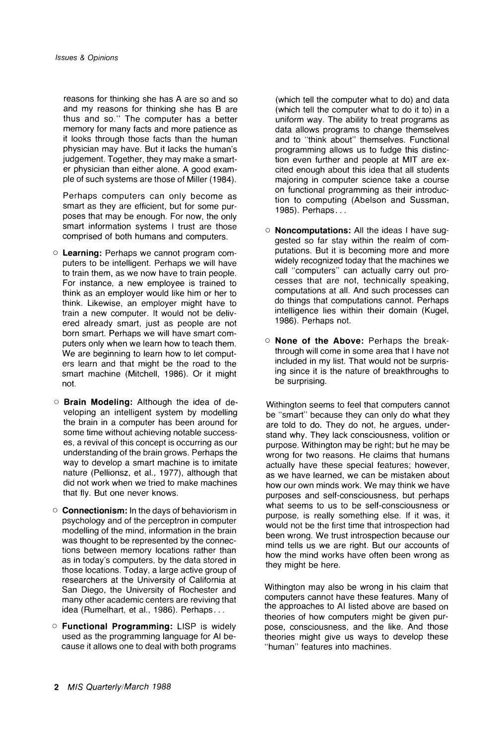**reasons for thinking she has A are so and so and my reasons for thinking she has B are thus and so." The computer has a better memory for many facts and more patience as it looks through those facts than the human physician may have. But it lacks the human's judgement. Together, they may make a smarter physician than either alone. A good example of such systems are those of Miller (1984).** 

**Perhaps computers can only become as smart as they are efficient, but for some purposes that may be enough. For now, the only smart information systems I trust are those comprised of both humans and computers.** 

- **o Learning: Perhaps we cannot program computers to be intelligent. Perhaps we will have to train them, as we now have to train people. For instance, a new employee is trained to think as an employer would like him or her to think. Likewise, an employer might have to train a new computer. It would not be delivered already smart, just as people are not born smart. Perhaps we will have smart computers only when we learn how to teach them. We are beginning to learn how to let computers learn and that might be the road to the smart machine (Mitchell, 1986). Or it might not.**
- **o Brain Modeling: Although the idea of developing an intelligent system by modelling the brain in a computer has been around for some time without achieving notable successes, a revival of this concept is occurring as our understanding of the brain grows. Perhaps the way to develop a smart machine is to imitate nature (Pellionsz, et al., 1977), although that did not work when we tried to make machines that fly. But one never knows.**
- **o Connectionism: In the days of behaviorism in psychology and of the perceptron in computer modelling of the mind, information in the brain was thought to be represented by the connections between memory locations rather than as in today's computers, by the data stored in those locations. Today, a large active group of researchers at the University of California at San Diego, the University of Rochester and many other academic centers are reviving that idea (Rumelhart, et al., 1986). Perhaps...**
- **o Functional Programming: LISP is widely used as the programming language for Al because it allows one to deal with both programs**

**(which tell the computer what to do) and data (which tell the computer what to do it to) in a uniform way. The ability to treat programs as data allows programs to change themselves and to "think about" themselves. Functional programming allows us to fudge this distinction even further and people at MIT are excited enough about this idea that all students majoring in computer science take a course on functional programming as their introduction to computing (Abelson and Sussman, 1985). Perhaps...** 

- **o Noncomputations: All the ideas I have suggested so far stay within the realm of computations. But it is becoming more and more widely recognized today that the machines we call "computers" can actually carry out processes that are not, technically speaking, computations at all. And such processes can do things that computations cannot. Perhaps intelligence lies within their domain (Kugel, 1986). Perhaps not.**
- **o None of the Above: Perhaps the breakthrough will come in some area that I have not included in my list. That would not be surprising since it is the nature of breakthroughs to be surprising.**

**Withington seems to feel that computers cannot be "smart" because they can only do what they are told to do. They do not, he argues, understand why. They lack consciousness, volition or purpose. Withington may be right; but he may be wrong for two reasons. He claims that humans actually have these special features; however, as we have learned, we can be mistaken about how our own minds work. We may think we have purposes and self-consciousness, but perhaps what seems to us to be self-consciousness or purpose, is really something else. If it was, it would not be the first time that introspection had been wrong. We trust introspection because our mind tells us we are right. But our accounts of how the mind works have often been wrong as they might be here.** 

**Withington may also be wrong in his claim that computers cannot have these features. Many of the approaches to Al listed above are based on theories of how computers might be given purpose, consciousness, and the like. And those theories might give us ways to develop these "human" features into machines.**